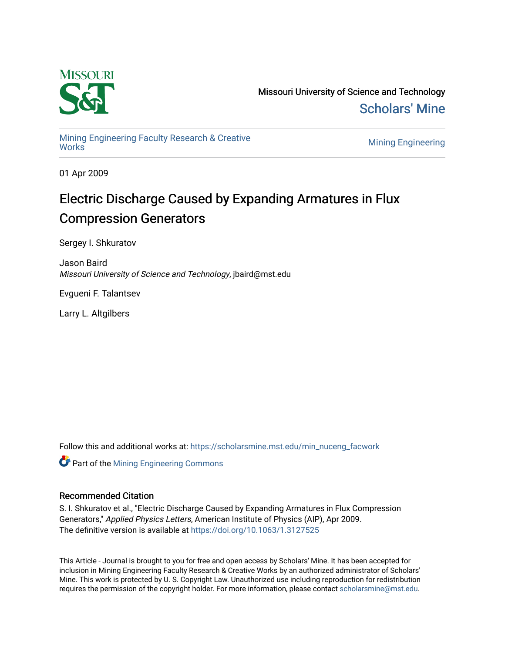

Missouri University of Science and Technology [Scholars' Mine](https://scholarsmine.mst.edu/) 

[Mining Engineering Faculty Research & Creative](https://scholarsmine.mst.edu/min_nuceng_facwork)  [Works](https://scholarsmine.mst.edu/min_nuceng_facwork) [Mining Engineering](https://scholarsmine.mst.edu/min_nuceng) 

01 Apr 2009

# Electric Discharge Caused by Expanding Armatures in Flux Compression Generators

Sergey I. Shkuratov

Jason Baird Missouri University of Science and Technology, jbaird@mst.edu

Evgueni F. Talantsev

Larry L. Altgilbers

Follow this and additional works at: [https://scholarsmine.mst.edu/min\\_nuceng\\_facwork](https://scholarsmine.mst.edu/min_nuceng_facwork?utm_source=scholarsmine.mst.edu%2Fmin_nuceng_facwork%2F1183&utm_medium=PDF&utm_campaign=PDFCoverPages) 

**Part of the Mining Engineering Commons** 

### Recommended Citation

S. I. Shkuratov et al., "Electric Discharge Caused by Expanding Armatures in Flux Compression Generators," Applied Physics Letters, American Institute of Physics (AIP), Apr 2009. The definitive version is available at <https://doi.org/10.1063/1.3127525>

This Article - Journal is brought to you for free and open access by Scholars' Mine. It has been accepted for inclusion in Mining Engineering Faculty Research & Creative Works by an authorized administrator of Scholars' Mine. This work is protected by U. S. Copyright Law. Unauthorized use including reproduction for redistribution requires the permission of the copyright holder. For more information, please contact [scholarsmine@mst.edu.](mailto:scholarsmine@mst.edu)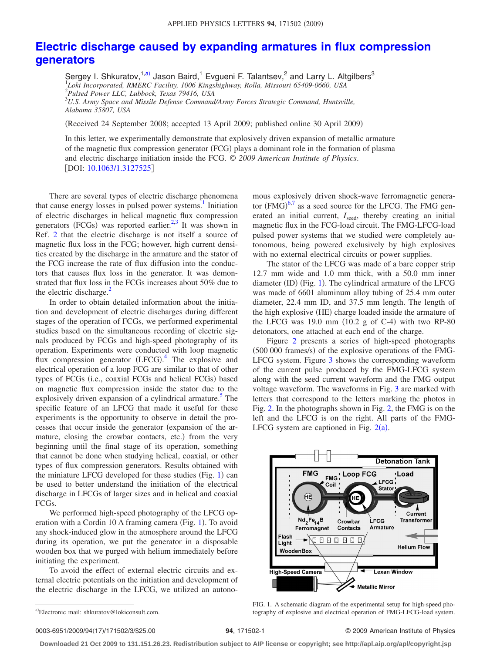## **[Electric discharge caused by expanding armatures in flux compression](http://dx.doi.org/10.1063/1.3127525) [generators](http://dx.doi.org/10.1063/1.3127525)**

Sergey I. Shkuratov,<sup>1[,a](#page-1-0))</sup> Jason Baird,<sup>1</sup> Evgueni F. Talantsev,<sup>2</sup> and Larry L. Altgilbers<sup>3</sup> 1 *Loki Incorporated, RMERC Facility, 1006 Kingshighway, Rolla, Missouri 65409-0660, USA* 2 *Pulsed Power LLC, Lubbock, Texas 79416, USA* 3 *U.S. Army Space and Missile Defense Command/Army Forces Strategic Command, Huntsville, Alabama 35807, USA*

Received 24 September 2008; accepted 13 April 2009; published online 30 April 2009-

In this letter, we experimentally demonstrate that explosively driven expansion of metallic armature of the magnetic flux compression generator (FCG) plays a dominant role in the formation of plasma and electric discharge initiation inside the FCG. © *2009 American Institute of Physics*. [DOI: [10.1063/1.3127525](http://dx.doi.org/10.1063/1.3127525)]

There are several types of electric discharge phenomena that cause energy losses in pulsed power systems.<sup>1</sup> Initiation of electric discharges in helical magnetic flux compression generators (FCGs) was reported earlier.<sup>2,[3](#page-3-2)</sup> It was shown in Ref. [2](#page-3-1) that the electric discharge is not itself a source of magnetic flux loss in the FCG; however, high current densities created by the discharge in the armature and the stator of the FCG increase the rate of flux diffusion into the conductors that causes flux loss in the generator. It was demonstrated that flux loss in the FCGs increases about 50% due to the electric discharge.<sup>2</sup>

In order to obtain detailed information about the initiation and development of electric discharges during different stages of the operation of FCGs, we performed experimental studies based on the simultaneous recording of electric signals produced by FCGs and high-speed photography of its operation. Experiments were conducted with loop magnetic flux compression generator (LFCG).<sup>[4](#page-3-3)</sup> The explosive and electrical operation of a loop FCG are similar to that of other types of FCGs (i.e., coaxial FCGs and helical FCGs) based on magnetic flux compression inside the stator due to the explosively driven expansion of a cylindrical armature.<sup>5</sup> The specific feature of an LFCG that made it useful for these experiments is the opportunity to observe in detail the processes that occur inside the generator (expansion of the armature, closing the crowbar contacts, etc.) from the very beginning until the final stage of its operation, something that cannot be done when studying helical, coaxial, or other types of flux compression generators. Results obtained with the miniature LFCG developed for these studies (Fig. [1](#page-1-1)) can be used to better understand the initiation of the electrical discharge in LFCGs of larger sizes and in helical and coaxial FCGs.

We performed high-speed photography of the LFCG op-eration with a Cordin [1](#page-1-1)0 A framing camera (Fig. 1). To avoid any shock-induced glow in the atmosphere around the LFCG during its operation, we put the generator in a disposable wooden box that we purged with helium immediately before initiating the experiment.

<span id="page-1-0"></span>To avoid the effect of external electric circuits and external electric potentials on the initiation and development of the electric discharge in the LFCG, we utilized an autono-

a)Electronic mail: shkuratov@lokiconsult.com.

mous explosively driven shock-wave ferromagnetic generator  $(FMG)^{6,7}$  $(FMG)^{6,7}$  $(FMG)^{6,7}$  $(FMG)^{6,7}$  as a seed source for the LFCG. The FMG generated an initial current, *I*<sub>seed</sub>, thereby creating an initial magnetic flux in the FCG-load circuit. The FMG-LFCG-load pulsed power systems that we studied were completely autonomous, being powered exclusively by high explosives with no external electrical circuits or power supplies.

The stator of the LFCG was made of a bare copper strip 12.7 mm wide and 1.0 mm thick, with a 50.0 mm inner diameter (ID) (Fig. [1](#page-1-1)). The cylindrical armature of the LFCG was made of 6601 aluminum alloy tubing of 25.4 mm outer diameter, 22.4 mm ID, and 37.5 mm length. The length of the high explosive (HE) charge loaded inside the armature of the LFCG was  $19.0$  mm  $(10.2$  g of C-4) with two RP-80 detonators, one attached at each end of the charge.

Figure [2](#page-2-0) presents a series of high-speed photographs (500 000 frames/s) of the explosive operations of the FMG-LFCG system. Figure [3](#page-2-1) shows the corresponding waveform of the current pulse produced by the FMG-LFCG system along with the seed current waveform and the FMG output voltage waveform. The waveforms in Fig. [3](#page-2-1) are marked with letters that correspond to the letters marking the photos in Fig. [2.](#page-2-0) In the photographs shown in Fig. [2,](#page-2-0) the FMG is on the left and the LFCG is on the right. All parts of the FMG-LFCG system are captioned in Fig.  $2(a)$  $2(a)$ .

<span id="page-1-1"></span>

FIG. 1. A schematic diagram of the experimental setup for high-speed photography of explosive and electrical operation of FMG-LFCG-load system.

#### **94**, 171502-1 © 2009 American Institute of Physics

**Downloaded 21 Oct 2009 to 131.151.26.23. Redistribution subject to AIP license or copyright; see http://apl.aip.org/apl/copyright.jsp**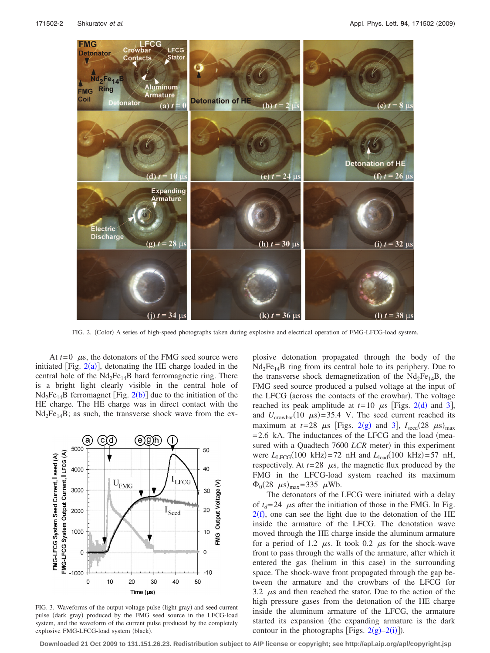<span id="page-2-0"></span>

FIG. 2. (Color) A series of high-speed photographs taken during explosive and electrical operation of FMG-LFCG-load system.

At  $t=0$   $\mu$ s, the detonators of the FMG seed source were initiated [Fig.  $2(a)$  $2(a)$ ], detonating the HE charge loaded in the central hole of the  $Nd_2Fe_{14}B$  hard ferromagnetic ring. There is a bright light clearly visible in the central hole of  $Nd_2Fe_{14}B$  $Nd_2Fe_{14}B$  $Nd_2Fe_{14}B$  ferromagnet [Fig. 2(b)] due to the initiation of the HE charge. The HE charge was in direct contact with the  $Nd_2Fe_{14}B$ ; as such, the transverse shock wave from the ex-

<span id="page-2-1"></span>

FIG. 3. Waveforms of the output voltage pulse (light gray) and seed current pulse (dark gray) produced by the FMG seed source in the LFCG-load system, and the waveform of the current pulse produced by the completely explosive FMG-LFCG-load system (black).

plosive detonation propagated through the body of the  $Nd_2Fe_{14}B$  ring from its central hole to its periphery. Due to the transverse shock demagnetization of the  $Nd_2Fe_{14}B$ , the FMG seed source produced a pulsed voltage at the input of the LFCG (across the contacts of the crowbar). The voltage reached its peak amplitude at  $t=10$   $\mu$ s [Figs. [2](#page-2-0)(d) and [3](#page-2-1)], and  $U_{\text{crowbar}}(10 \mu s) = 35.4 \text{ V}$ . The seed current reached its maximum at  $t=28$  $t=28$  $t=28$   $\mu$ s [Figs. 2(g) and [3](#page-2-1)],  $I_{\text{seed}}(28 \mu s)_{\text{max}}$  $= 2.6$  kA. The inductances of the LFCG and the load (measured with a Quadtech 7600 LCR meter) in this experiment were  $L_{LFGG}(100 \text{ kHz}) = 72 \text{ nH}$  and  $L_{load}(100 \text{ kHz}) = 57 \text{ nH}$ , respectively. At  $t=28$   $\mu$ s, the magnetic flux produced by the FMG in the LFCG-load system reached its maximum  $\Phi_0(28 \ \mu s)_{\text{max}} = 335 \ \mu \text{Wb}.$ 

The detonators of the LFCG were initiated with a delay of  $t_d$ = 24  $\mu$ s after the initiation of those in the FMG. In Fig.  $2(f)$  $2(f)$ , one can see the light due to the detonation of the HE inside the armature of the LFCG. The denotation wave moved through the HE charge inside the aluminum armature for a period of 1.2  $\mu$ s. It took 0.2  $\mu$ s for the shock-wave front to pass through the walls of the armature, after which it entered the gas (helium in this case) in the surrounding space. The shock-wave front propagated through the gap between the armature and the crowbars of the LFCG for 3.2  $\mu$ s and then reached the stator. Due to the action of the high pressure gases from the detonation of the HE charge inside the aluminum armature of the LFCG, the armature started its expansion (the expanding armature is the dark contour in the photographs [Figs.  $2(g)-2(i)$  $2(g)-2(i)$ ]).

**Downloaded 21 Oct 2009 to 131.151.26.23. Redistribution subject to AIP license or copyright; see http://apl.aip.org/apl/copyright.jsp**